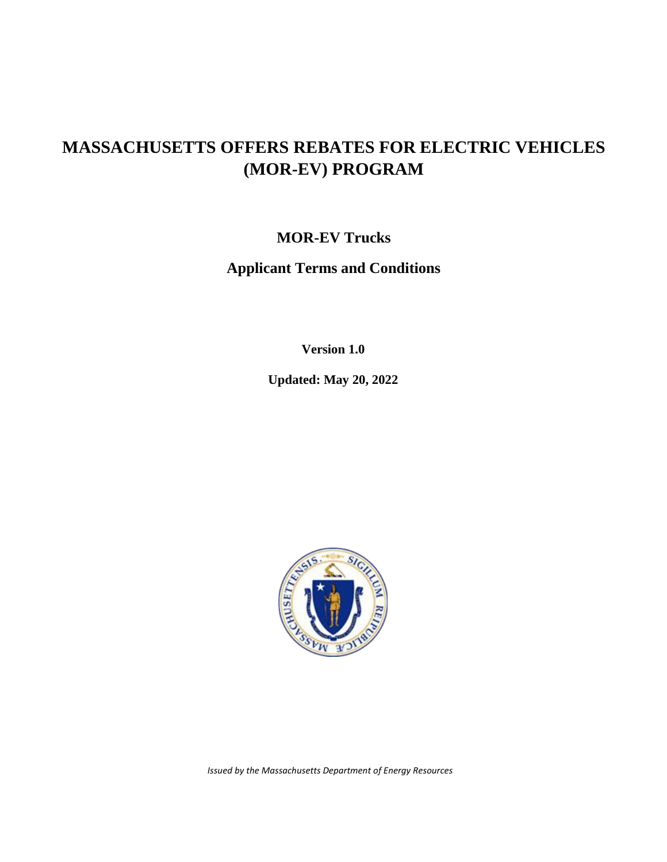## **MASSACHUSETTS OFFERS REBATES FOR ELECTRIC VEHICLES (MOR-EV) PROGRAM**

**MOR-EV Trucks**

**Applicant Terms and Conditions**

**Version 1.0**

**Updated: May 20, 2022**



*Issued by the Massachusetts Department of Energy Resources*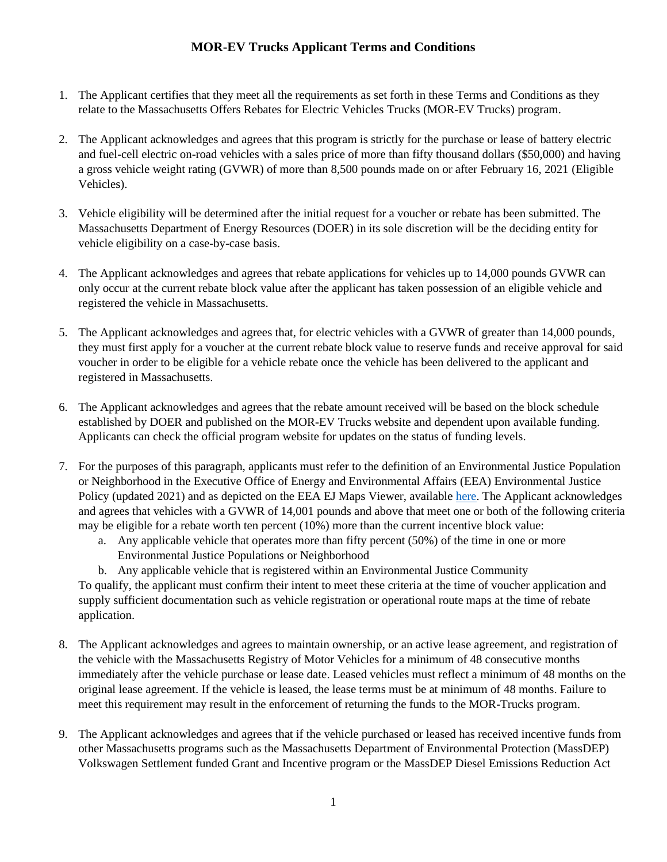## **MOR-EV Trucks Applicant Terms and Conditions**

- 1. The Applicant certifies that they meet all the requirements as set forth in these Terms and Conditions as they relate to the Massachusetts Offers Rebates for Electric Vehicles Trucks (MOR-EV Trucks) program.
- 2. The Applicant acknowledges and agrees that this program is strictly for the purchase or lease of battery electric and fuel-cell electric on-road vehicles with a sales price of more than fifty thousand dollars (\$50,000) and having a gross vehicle weight rating (GVWR) of more than 8,500 pounds made on or after February 16, 2021 (Eligible Vehicles).
- 3. Vehicle eligibility will be determined after the initial request for a voucher or rebate has been submitted. The Massachusetts Department of Energy Resources (DOER) in its sole discretion will be the deciding entity for vehicle eligibility on a case-by-case basis.
- 4. The Applicant acknowledges and agrees that rebate applications for vehicles up to 14,000 pounds GVWR can only occur at the current rebate block value after the applicant has taken possession of an eligible vehicle and registered the vehicle in Massachusetts.
- 5. The Applicant acknowledges and agrees that, for electric vehicles with a GVWR of greater than 14,000 pounds, they must first apply for a voucher at the current rebate block value to reserve funds and receive approval for said voucher in order to be eligible for a vehicle rebate once the vehicle has been delivered to the applicant and registered in Massachusetts.
- 6. The Applicant acknowledges and agrees that the rebate amount received will be based on the block schedule established by DOER and published on the MOR-EV Trucks website and dependent upon available funding. Applicants can check the official program website for updates on the status of funding levels.
- 7. For the purposes of this paragraph, applicants must refer to the definition of an Environmental Justice Population or Neighborhood in the Executive Office of Energy and Environmental Affairs (EEA) Environmental Justice Policy (updated 2021) and as depicted on the EEA EJ Maps Viewer, available [here.](https://mass-eoeea.maps.arcgis.com/apps/MapSeries/index.html?appid=535e4419dc0545be980545a0eeaf9b53) The Applicant acknowledges and agrees that vehicles with a GVWR of 14,001 pounds and above that meet one or both of the following criteria may be eligible for a rebate worth ten percent (10%) more than the current incentive block value:
	- a. Any applicable vehicle that operates more than fifty percent (50%) of the time in one or more Environmental Justice Populations or Neighborhood
	- b. Any applicable vehicle that is registered within an Environmental Justice Community

To qualify, the applicant must confirm their intent to meet these criteria at the time of voucher application and supply sufficient documentation such as vehicle registration or operational route maps at the time of rebate application.

- 8. The Applicant acknowledges and agrees to maintain ownership, or an active lease agreement, and registration of the vehicle with the Massachusetts Registry of Motor Vehicles for a minimum of 48 consecutive months immediately after the vehicle purchase or lease date. Leased vehicles must reflect a minimum of 48 months on the original lease agreement. If the vehicle is leased, the lease terms must be at minimum of 48 months. Failure to meet this requirement may result in the enforcement of returning the funds to the MOR-Trucks program.
- 9. The Applicant acknowledges and agrees that if the vehicle purchased or leased has received incentive funds from other Massachusetts programs such as the Massachusetts Department of Environmental Protection (MassDEP) Volkswagen Settlement funded Grant and Incentive program or the MassDEP Diesel Emissions Reduction Act